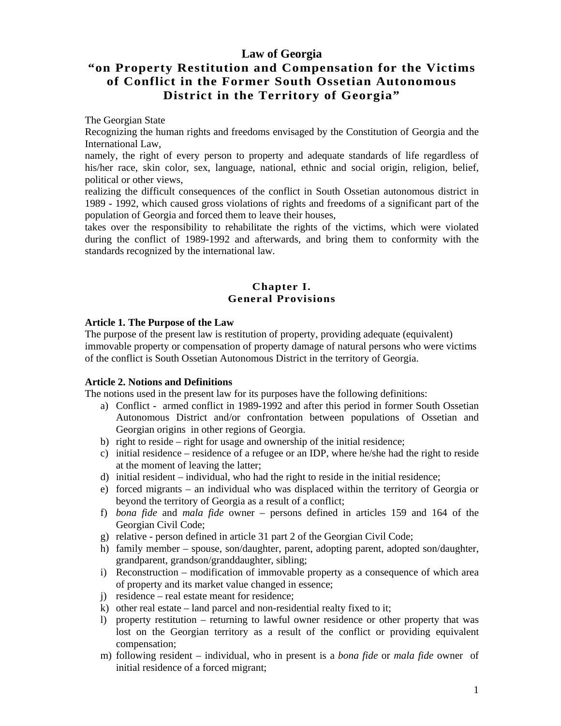# **Law of Georgia**

# **"on Property Restitution and Compensation for the Victims of Conflict in the Former South Ossetian Autonomous District in the Territory of Georgia"**

The Georgian State

Recognizing the human rights and freedoms envisaged by the Constitution of Georgia and the International Law,

namely, the right of every person to property and adequate standards of life regardless of his/her race, skin color, sex, language, national, ethnic and social origin, religion, belief, political or other views,

realizing the difficult consequences of the conflict in South Ossetian autonomous district in 1989 - 1992, which caused gross violations of rights and freedoms of a significant part of the population of Georgia and forced them to leave their houses,

takes over the responsibility to rehabilitate the rights of the victims, which were violated during the conflict of 1989-1992 and afterwards, and bring them to conformity with the standards recognized by the international law.

### **Chapter I. General Provisions**

#### **Article 1. The Purpose of the Law**

The purpose of the present law is restitution of property, providing adequate (equivalent) immovable property or compensation of property damage of natural persons who were victims of the conflict is South Ossetian Autonomous District in the territory of Georgia.

#### **Article 2. Notions and Definitions**

The notions used in the present law for its purposes have the following definitions:

- a) Conflict armed conflict in 1989-1992 and after this period in former South Ossetian Autonomous District and/or confrontation between populations of Ossetian and Georgian origins in other regions of Georgia.
- b) right to reside right for usage and ownership of the initial residence;
- c) initial residence residence of a refugee or an IDP, where he/she had the right to reside at the moment of leaving the latter;
- d) initial resident individual, who had the right to reside in the initial residence;
- e) forced migrants an individual who was displaced within the territory of Georgia or beyond the territory of Georgia as a result of a conflict;
- f) *bona fide* and *mala fide* owner persons defined in articles 159 and 164 of the Georgian Civil Code;
- g) relative person defined in article 31 part 2 of the Georgian Civil Code;
- h) family member spouse, son/daughter, parent, adopting parent, adopted son/daughter, grandparent, grandson/granddaughter, sibling;
- i) Reconstruction modification of immovable property as a consequence of which area of property and its market value changed in essence;
- j) residence real estate meant for residence;
- k) other real estate land parcel and non-residential realty fixed to it;
- l) property restitution returning to lawful owner residence or other property that was lost on the Georgian territory as a result of the conflict or providing equivalent compensation;
- m) following resident individual, who in present is a *bona fide* or *mala fide* owner of initial residence of a forced migrant;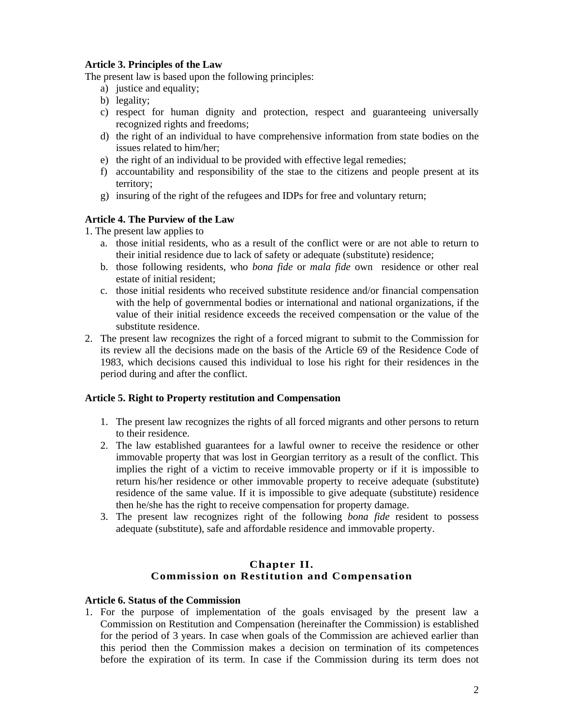# **Article 3. Principles of the Law**

The present law is based upon the following principles:

- a) justice and equality;
- b) legality;
- c) respect for human dignity and protection, respect and guaranteeing universally recognized rights and freedoms;
- d) the right of an individual to have comprehensive information from state bodies on the issues related to him/her;
- e) the right of an individual to be provided with effective legal remedies;
- f) accountability and responsibility of the stae to the citizens and people present at its territory;
- g) insuring of the right of the refugees and IDPs for free and voluntary return;

## **Article 4. The Purview of the Law**

1. The present law applies to

- a. those initial residents, who as a result of the conflict were or are not able to return to their initial residence due to lack of safety or adequate (substitute) residence;
- b. those following residents, who *bona fide* or *mala fide* own residence or other real estate of initial resident;
- c. those initial residents who received substitute residence and/or financial compensation with the help of governmental bodies or international and national organizations, if the value of their initial residence exceeds the received compensation or the value of the substitute residence.
- 2. The present law recognizes the right of a forced migrant to submit to the Commission for its review all the decisions made on the basis of the Article 69 of the Residence Code of 1983, which decisions caused this individual to lose his right for their residences in the period during and after the conflict.

#### **Article 5. Right to Property restitution and Compensation**

- 1. The present law recognizes the rights of all forced migrants and other persons to return to their residence.
- 2. The law established guarantees for a lawful owner to receive the residence or other immovable property that was lost in Georgian territory as a result of the conflict. This implies the right of a victim to receive immovable property or if it is impossible to return his/her residence or other immovable property to receive adequate (substitute) residence of the same value. If it is impossible to give adequate (substitute) residence then he/she has the right to receive compensation for property damage.
- 3. The present law recognizes right of the following *bona fide* resident to possess adequate (substitute), safe and affordable residence and immovable property.

## **Chapter II. Commission on Restitution and Compensation**

#### **Article 6. Status of the Commission**

1. For the purpose of implementation of the goals envisaged by the present law a Commission on Restitution and Compensation (hereinafter the Commission) is established for the period of 3 years. In case when goals of the Commission are achieved earlier than this period then the Commission makes a decision on termination of its competences before the expiration of its term. In case if the Commission during its term does not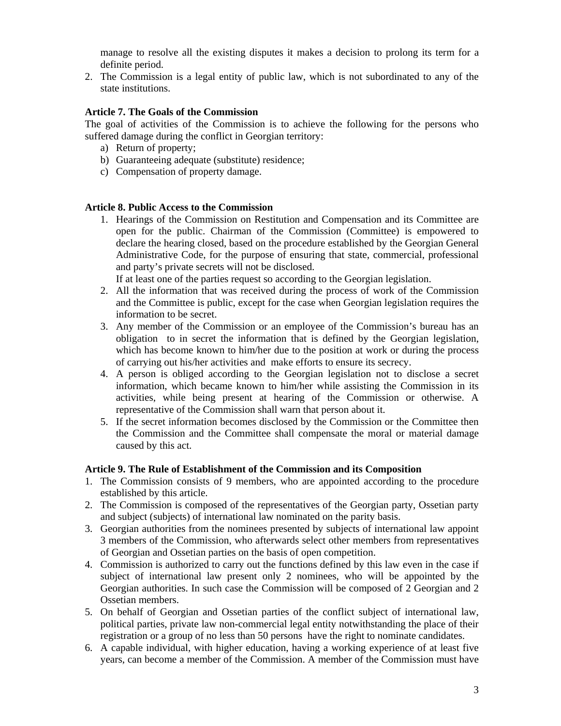manage to resolve all the existing disputes it makes a decision to prolong its term for a definite period.

2. The Commission is a legal entity of public law, which is not subordinated to any of the state institutions.

### **Article 7. The Goals of the Commission**

The goal of activities of the Commission is to achieve the following for the persons who suffered damage during the conflict in Georgian territory:

- a) Return of property;
- b) Guaranteeing adequate (substitute) residence;
- c) Compensation of property damage.

#### **Article 8. Public Access to the Commission**

1. Hearings of the Commission on Restitution and Compensation and its Committee are open for the public. Chairman of the Commission (Committee) is empowered to declare the hearing closed, based on the procedure established by the Georgian General Administrative Code, for the purpose of ensuring that state, commercial, professional and party's private secrets will not be disclosed.

If at least one of the parties request so according to the Georgian legislation.

- 2. All the information that was received during the process of work of the Commission and the Committee is public, except for the case when Georgian legislation requires the information to be secret.
- 3. Any member of the Commission or an employee of the Commission's bureau has an obligation to in secret the information that is defined by the Georgian legislation, which has become known to him/her due to the position at work or during the process of carrying out his/her activities and make efforts to ensure its secrecy.
- 4. A person is obliged according to the Georgian legislation not to disclose a secret information, which became known to him/her while assisting the Commission in its activities, while being present at hearing of the Commission or otherwise. A representative of the Commission shall warn that person about it.
- 5. If the secret information becomes disclosed by the Commission or the Committee then the Commission and the Committee shall compensate the moral or material damage caused by this act.

#### **Article 9. The Rule of Establishment of the Commission and its Composition**

- 1. The Commission consists of 9 members, who are appointed according to the procedure established by this article.
- 2. The Commission is composed of the representatives of the Georgian party, Ossetian party and subject (subjects) of international law nominated on the parity basis.
- 3. Georgian authorities from the nominees presented by subjects of international law appoint 3 members of the Commission, who afterwards select other members from representatives of Georgian and Ossetian parties on the basis of open competition.
- 4. Commission is authorized to carry out the functions defined by this law even in the case if subject of international law present only 2 nominees, who will be appointed by the Georgian authorities. In such case the Commission will be composed of 2 Georgian and 2 Ossetian members.
- 5. On behalf of Georgian and Ossetian parties of the conflict subject of international law, political parties, private law non-commercial legal entity notwithstanding the place of their registration or a group of no less than 50 persons have the right to nominate candidates.
- 6. A capable individual, with higher education, having a working experience of at least five years, can become a member of the Commission. A member of the Commission must have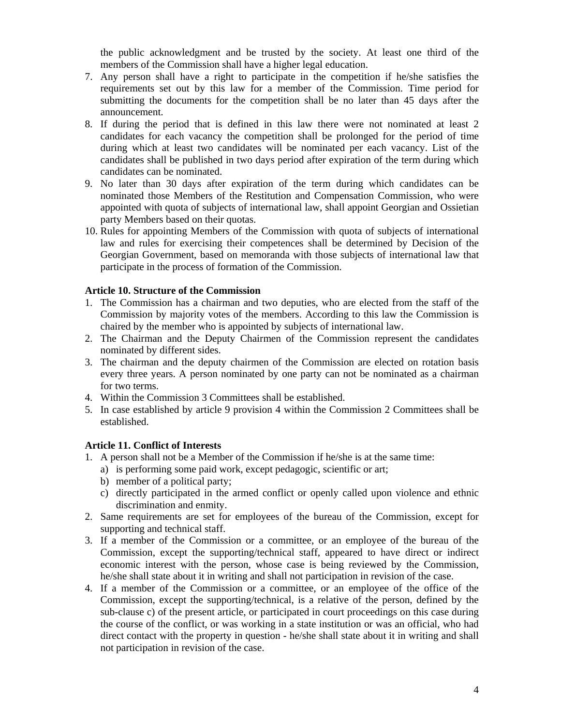the public acknowledgment and be trusted by the society. At least one third of the members of the Commission shall have a higher legal education.

- 7. Any person shall have a right to participate in the competition if he/she satisfies the requirements set out by this law for a member of the Commission. Time period for submitting the documents for the competition shall be no later than 45 days after the announcement.
- 8. If during the period that is defined in this law there were not nominated at least 2 candidates for each vacancy the competition shall be prolonged for the period of time during which at least two candidates will be nominated per each vacancy. List of the candidates shall be published in two days period after expiration of the term during which candidates can be nominated.
- 9. No later than 30 days after expiration of the term during which candidates can be nominated those Members of the Restitution and Compensation Commission, who were appointed with quota of subjects of international law, shall appoint Georgian and Ossietian party Members based on their quotas.
- 10. Rules for appointing Members of the Commission with quota of subjects of international law and rules for exercising their competences shall be determined by Decision of the Georgian Government, based on memoranda with those subjects of international law that participate in the process of formation of the Commission.

#### **Article 10. Structure of the Commission**

- 1. The Commission has a chairman and two deputies, who are elected from the staff of the Commission by majority votes of the members. According to this law the Commission is chaired by the member who is appointed by subjects of international law.
- 2. The Chairman and the Deputy Chairmen of the Commission represent the candidates nominated by different sides.
- 3. The chairman and the deputy chairmen of the Commission are elected on rotation basis every three years. A person nominated by one party can not be nominated as a chairman for two terms.
- 4. Within the Commission 3 Committees shall be established.
- 5. In case established by article 9 provision 4 within the Commission 2 Committees shall be established.

#### **Article 11. Conflict of Interests**

- 1. A person shall not be a Member of the Commission if he/she is at the same time:
	- a) is performing some paid work, except pedagogic, scientific or art;
	- b) member of a political party;
	- c) directly participated in the armed conflict or openly called upon violence and ethnic discrimination and enmity.
- 2. Same requirements are set for employees of the bureau of the Commission, except for supporting and technical staff.
- 3. If a member of the Commission or a committee, or an employee of the bureau of the Commission, except the supporting/technical staff, appeared to have direct or indirect economic interest with the person, whose case is being reviewed by the Commission, he/she shall state about it in writing and shall not participation in revision of the case.
- 4. If a member of the Commission or a committee, or an employee of the office of the Commission, except the supporting/technical, is a relative of the person, defined by the sub-clause c) of the present article, or participated in court proceedings on this case during the course of the conflict, or was working in a state institution or was an official, who had direct contact with the property in question - he/she shall state about it in writing and shall not participation in revision of the case.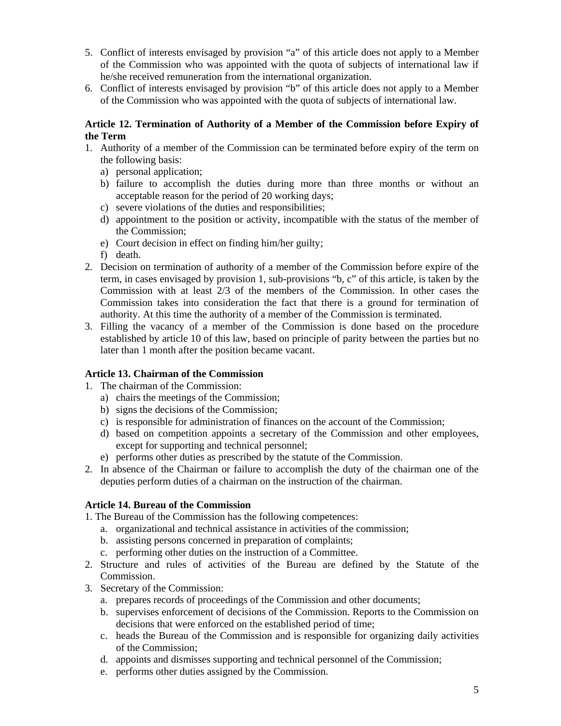- 5. Conflict of interests envisaged by provision "a" of this article does not apply to a Member of the Commission who was appointed with the quota of subjects of international law if he/she received remuneration from the international organization.
- 6. Conflict of interests envisaged by provision "b" of this article does not apply to a Member of the Commission who was appointed with the quota of subjects of international law.

# **Article 12. Termination of Authority of a Member of the Commission before Expiry of the Term**

- 1. Authority of a member of the Commission can be terminated before expiry of the term on the following basis:
	- a) personal application;
	- b) failure to accomplish the duties during more than three months or without an acceptable reason for the period of 20 working days;
	- c) severe violations of the duties and responsibilities;
	- d) appointment to the position or activity, incompatible with the status of the member of the Commission;
	- e) Court decision in effect on finding him/her guilty;
	- f) death.
- 2. Decision on termination of authority of a member of the Commission before expire of the term, in cases envisaged by provision 1, sub-provisions "b, c" of this article, is taken by the Commission with at least 2/3 of the members of the Commission. In other cases the Commission takes into consideration the fact that there is a ground for termination of authority. At this time the authority of a member of the Commission is terminated.
- 3. Filling the vacancy of a member of the Commission is done based on the procedure established by article 10 of this law, based on principle of parity between the parties but no later than 1 month after the position became vacant.

# **Article 13. Chairman of the Commission**

- 1. The chairman of the Commission:
	- a) chairs the meetings of the Commission;
	- b) signs the decisions of the Commission;
	- c) is responsible for administration of finances on the account of the Commission;
	- d) based on competition appoints a secretary of the Commission and other employees, except for supporting and technical personnel;
	- e) performs other duties as prescribed by the statute of the Commission.
- 2. In absence of the Chairman or failure to accomplish the duty of the chairman one of the deputies perform duties of a chairman on the instruction of the chairman.

# **Article 14. Bureau of the Commission**

- 1. The Bureau of the Commission has the following competences:
	- a. organizational and technical assistance in activities of the commission;
	- b. assisting persons concerned in preparation of complaints;
	- c. performing other duties on the instruction of a Committee.
- 2. Structure and rules of activities of the Bureau are defined by the Statute of the Commission.
- 3. Secretary of the Commission:
	- a. prepares records of proceedings of the Commission and other documents;
	- b. supervises enforcement of decisions of the Commission. Reports to the Commission on decisions that were enforced on the established period of time;
	- c. heads the Bureau of the Commission and is responsible for organizing daily activities of the Commission;
	- d. appoints and dismisses supporting and technical personnel of the Commission;
	- e. performs other duties assigned by the Commission.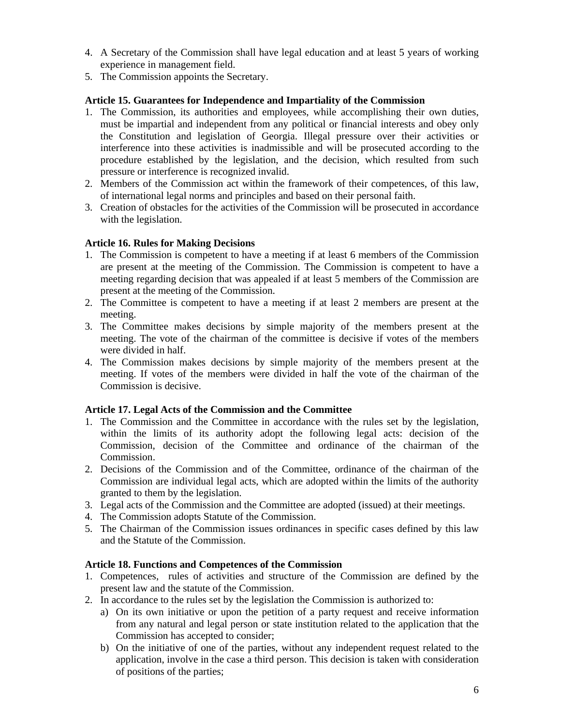- 4. A Secretary of the Commission shall have legal education and at least 5 years of working experience in management field.
- 5. The Commission appoints the Secretary.

## **Article 15. Guarantees for Independence and Impartiality of the Commission**

- 1. The Commission, its authorities and employees, while accomplishing their own duties, must be impartial and independent from any political or financial interests and obey only the Constitution and legislation of Georgia. Illegal pressure over their activities or interference into these activities is inadmissible and will be prosecuted according to the procedure established by the legislation, and the decision, which resulted from such pressure or interference is recognized invalid.
- 2. Members of the Commission act within the framework of their competences, of this law, of international legal norms and principles and based on their personal faith.
- 3. Creation of obstacles for the activities of the Commission will be prosecuted in accordance with the legislation.

## **Article 16. Rules for Making Decisions**

- 1. The Commission is competent to have a meeting if at least 6 members of the Commission are present at the meeting of the Commission. The Commission is competent to have a meeting regarding decision that was appealed if at least 5 members of the Commission are present at the meeting of the Commission.
- 2. The Committee is competent to have a meeting if at least 2 members are present at the meeting.
- 3. The Committee makes decisions by simple majority of the members present at the meeting. The vote of the chairman of the committee is decisive if votes of the members were divided in half.
- 4. The Commission makes decisions by simple majority of the members present at the meeting. If votes of the members were divided in half the vote of the chairman of the Commission is decisive.

#### **Article 17. Legal Acts of the Commission and the Committee**

- 1. The Commission and the Committee in accordance with the rules set by the legislation, within the limits of its authority adopt the following legal acts: decision of the Commission, decision of the Committee and ordinance of the chairman of the Commission.
- 2. Decisions of the Commission and of the Committee, ordinance of the chairman of the Commission are individual legal acts, which are adopted within the limits of the authority granted to them by the legislation.
- 3. Legal acts of the Commission and the Committee are adopted (issued) at their meetings.
- 4. The Commission adopts Statute of the Commission.
- 5. The Chairman of the Commission issues ordinances in specific cases defined by this law and the Statute of the Commission.

### **Article 18. Functions and Competences of the Commission**

- 1. Competences, rules of activities and structure of the Commission are defined by the present law and the statute of the Commission.
- 2. In accordance to the rules set by the legislation the Commission is authorized to:
	- a) On its own initiative or upon the petition of a party request and receive information from any natural and legal person or state institution related to the application that the Commission has accepted to consider;
	- b) On the initiative of one of the parties, without any independent request related to the application, involve in the case a third person. This decision is taken with consideration of positions of the parties;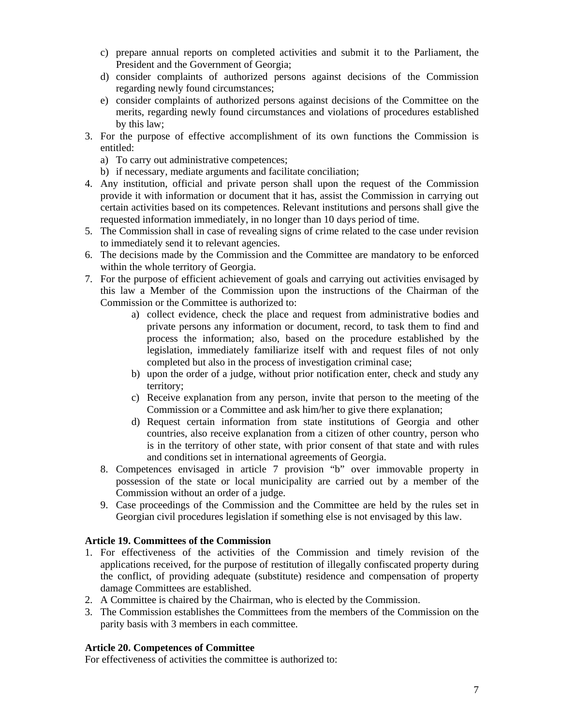- c) prepare annual reports on completed activities and submit it to the Parliament, the President and the Government of Georgia;
- d) consider complaints of authorized persons against decisions of the Commission regarding newly found circumstances;
- e) consider complaints of authorized persons against decisions of the Committee on the merits, regarding newly found circumstances and violations of procedures established by this law;
- 3. For the purpose of effective accomplishment of its own functions the Commission is entitled:
	- a) To carry out administrative competences;
	- b) if necessary, mediate arguments and facilitate conciliation;
- 4. Any institution, official and private person shall upon the request of the Commission provide it with information or document that it has, assist the Commission in carrying out certain activities based on its competences. Relevant institutions and persons shall give the requested information immediately, in no longer than 10 days period of time.
- 5. The Commission shall in case of revealing signs of crime related to the case under revision to immediately send it to relevant agencies.
- 6. The decisions made by the Commission and the Committee are mandatory to be enforced within the whole territory of Georgia.
- 7. For the purpose of efficient achievement of goals and carrying out activities envisaged by this law a Member of the Commission upon the instructions of the Chairman of the Commission or the Committee is authorized to:
	- a) collect evidence, check the place and request from administrative bodies and private persons any information or document, record, to task them to find and process the information; also, based on the procedure established by the legislation, immediately familiarize itself with and request files of not only completed but also in the process of investigation criminal case;
	- b) upon the order of a judge, without prior notification enter, check and study any territory;
	- c) Receive explanation from any person, invite that person to the meeting of the Commission or a Committee and ask him/her to give there explanation;
	- d) Request certain information from state institutions of Georgia and other countries, also receive explanation from a citizen of other country, person who is in the territory of other state, with prior consent of that state and with rules and conditions set in international agreements of Georgia.
	- 8. Competences envisaged in article 7 provision "b" over immovable property in possession of the state or local municipality are carried out by a member of the Commission without an order of a judge.
	- 9. Case proceedings of the Commission and the Committee are held by the rules set in Georgian civil procedures legislation if something else is not envisaged by this law.

# **Article 19. Committees of the Commission**

- 1. For effectiveness of the activities of the Commission and timely revision of the applications received, for the purpose of restitution of illegally confiscated property during the conflict, of providing adequate (substitute) residence and compensation of property damage Committees are established.
- 2. A Committee is chaired by the Chairman, who is elected by the Commission.
- 3. The Commission establishes the Committees from the members of the Commission on the parity basis with 3 members in each committee.

#### **Article 20. Competences of Committee**

For effectiveness of activities the committee is authorized to: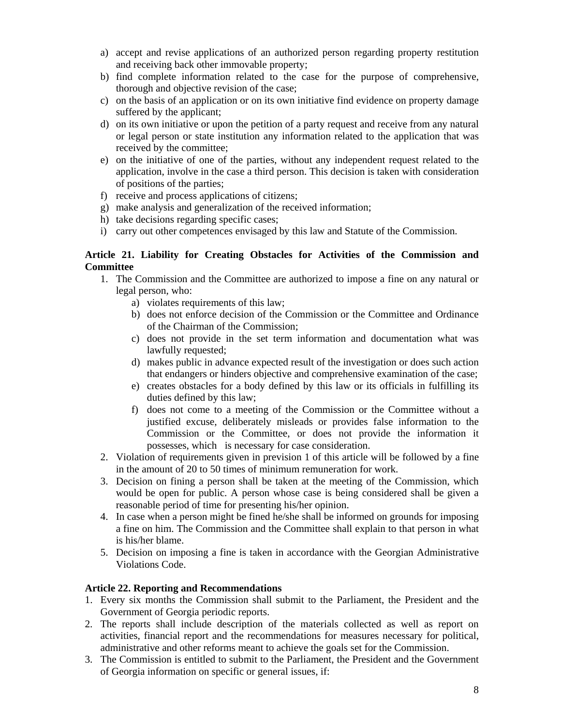- a) accept and revise applications of an authorized person regarding property restitution and receiving back other immovable property;
- b) find complete information related to the case for the purpose of comprehensive, thorough and objective revision of the case;
- c) on the basis of an application or on its own initiative find evidence on property damage suffered by the applicant;
- d) on its own initiative or upon the petition of a party request and receive from any natural or legal person or state institution any information related to the application that was received by the committee;
- e) on the initiative of one of the parties, without any independent request related to the application, involve in the case a third person. This decision is taken with consideration of positions of the parties;
- f) receive and process applications of citizens;
- g) make analysis and generalization of the received information;
- h) take decisions regarding specific cases;
- i) carry out other competences envisaged by this law and Statute of the Commission.

## **Article 21. Liability for Creating Obstacles for Activities of the Commission and Committee**

- 1. The Commission and the Committee are authorized to impose a fine on any natural or legal person, who:
	- a) violates requirements of this law;
	- b) does not enforce decision of the Commission or the Committee and Ordinance of the Chairman of the Commission;
	- c) does not provide in the set term information and documentation what was lawfully requested;
	- d) makes public in advance expected result of the investigation or does such action that endangers or hinders objective and comprehensive examination of the case;
	- e) creates obstacles for a body defined by this law or its officials in fulfilling its duties defined by this law;
	- f) does not come to a meeting of the Commission or the Committee without a justified excuse, deliberately misleads or provides false information to the Commission or the Committee, or does not provide the information it possesses, which is necessary for case consideration.
- 2. Violation of requirements given in prevision 1 of this article will be followed by a fine in the amount of 20 to 50 times of minimum remuneration for work.
- 3. Decision on fining a person shall be taken at the meeting of the Commission, which would be open for public. A person whose case is being considered shall be given a reasonable period of time for presenting his/her opinion.
- 4. In case when a person might be fined he/she shall be informed on grounds for imposing a fine on him. The Commission and the Committee shall explain to that person in what is his/her blame.
- 5. Decision on imposing a fine is taken in accordance with the Georgian Administrative Violations Code.

#### **Article 22. Reporting and Recommendations**

- 1. Every six months the Commission shall submit to the Parliament, the President and the Government of Georgia periodic reports.
- 2. The reports shall include description of the materials collected as well as report on activities, financial report and the recommendations for measures necessary for political, administrative and other reforms meant to achieve the goals set for the Commission.
- 3. The Commission is entitled to submit to the Parliament, the President and the Government of Georgia information on specific or general issues, if: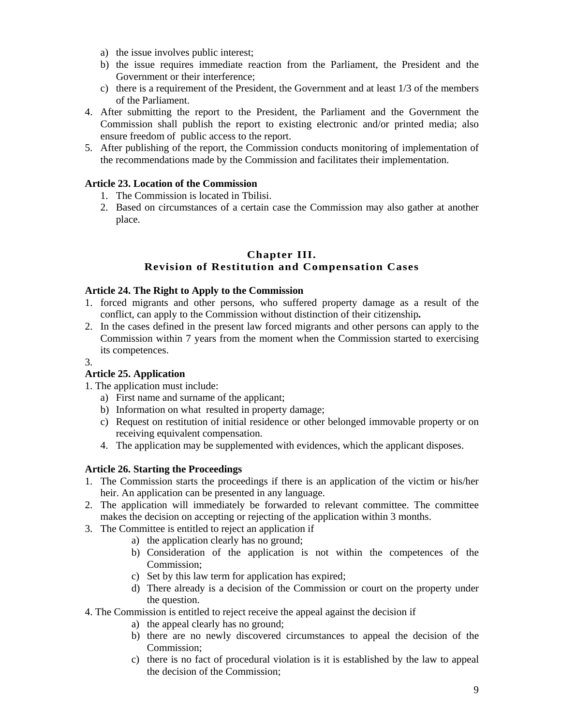- a) the issue involves public interest;
- b) the issue requires immediate reaction from the Parliament, the President and the Government or their interference;
- c) there is a requirement of the President, the Government and at least 1/3 of the members of the Parliament.
- 4. After submitting the report to the President, the Parliament and the Government the Commission shall publish the report to existing electronic and/or printed media; also ensure freedom of public access to the report.
- 5. After publishing of the report, the Commission conducts monitoring of implementation of the recommendations made by the Commission and facilitates their implementation.

# **Article 23. Location of the Commission**

- 1. The Commission is located in Tbilisi.
- 2. Based on circumstances of a certain case the Commission may also gather at another place.

## **Chapter III. Revision of Restitution and Compensation Cases**

## **Article 24. The Right to Apply to the Commission**

- 1. forced migrants and other persons, who suffered property damage as a result of the conflict, can apply to the Commission without distinction of their citizenship**.**
- 2. In the cases defined in the present law forced migrants and other persons can apply to the Commission within 7 years from the moment when the Commission started to exercising its competences.
- 3.

# **Article 25. Application**

- 1. The application must include:
	- a) First name and surname of the applicant;
	- b) Information on what resulted in property damage;
	- c) Request on restitution of initial residence or other belonged immovable property or on receiving equivalent compensation.
	- 4. The application may be supplemented with evidences, which the applicant disposes.

#### **Article 26. Starting the Proceedings**

- 1. The Commission starts the proceedings if there is an application of the victim or his/her heir. An application can be presented in any language.
- 2. The application will immediately be forwarded to relevant committee. The committee makes the decision on accepting or rejecting of the application within 3 months.
- 3. The Committee is entitled to reject an application if
	- a) the application clearly has no ground;
	- b) Consideration of the application is not within the competences of the Commission;
	- c) Set by this law term for application has expired;
	- d) There already is a decision of the Commission or court on the property under the question.
- 4. The Commission is entitled to reject receive the appeal against the decision if
	- a) the appeal clearly has no ground;
	- b) there are no newly discovered circumstances to appeal the decision of the Commission;
	- c) there is no fact of procedural violation is it is established by the law to appeal the decision of the Commission;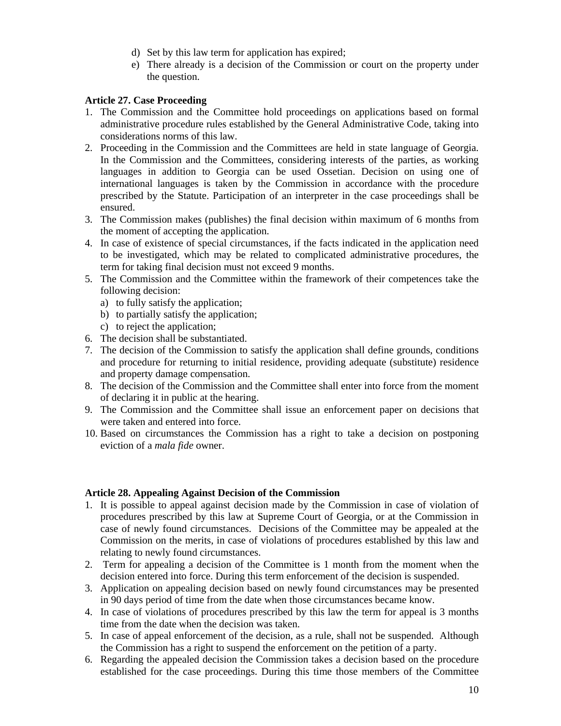- d) Set by this law term for application has expired;
- e) There already is a decision of the Commission or court on the property under the question.

## **Article 27. Case Proceeding**

- 1. The Commission and the Committee hold proceedings on applications based on formal administrative procedure rules established by the General Administrative Code, taking into considerations norms of this law.
- 2. Proceeding in the Commission and the Committees are held in state language of Georgia. In the Commission and the Committees, considering interests of the parties, as working languages in addition to Georgia can be used Ossetian. Decision on using one of international languages is taken by the Commission in accordance with the procedure prescribed by the Statute. Participation of an interpreter in the case proceedings shall be ensured.
- 3. The Commission makes (publishes) the final decision within maximum of 6 months from the moment of accepting the application.
- 4. In case of existence of special circumstances, if the facts indicated in the application need to be investigated, which may be related to complicated administrative procedures, the term for taking final decision must not exceed 9 months.
- 5. The Commission and the Committee within the framework of their competences take the following decision:
	- a) to fully satisfy the application;
	- b) to partially satisfy the application;
	- c) to reject the application;
- 6. The decision shall be substantiated.
- 7. The decision of the Commission to satisfy the application shall define grounds, conditions and procedure for returning to initial residence, providing adequate (substitute) residence and property damage compensation.
- 8. The decision of the Commission and the Committee shall enter into force from the moment of declaring it in public at the hearing.
- 9. The Commission and the Committee shall issue an enforcement paper on decisions that were taken and entered into force.
- 10. Based on circumstances the Commission has a right to take a decision on postponing eviction of a *mala fide* owner.

#### **Article 28. Appealing Against Decision of the Commission**

- 1. It is possible to appeal against decision made by the Commission in case of violation of procedures prescribed by this law at Supreme Court of Georgia, or at the Commission in case of newly found circumstances. Decisions of the Committee may be appealed at the Commission on the merits, in case of violations of procedures established by this law and relating to newly found circumstances.
- 2. Term for appealing a decision of the Committee is 1 month from the moment when the decision entered into force. During this term enforcement of the decision is suspended.
- 3. Application on appealing decision based on newly found circumstances may be presented in 90 days period of time from the date when those circumstances became know.
- 4. In case of violations of procedures prescribed by this law the term for appeal is 3 months time from the date when the decision was taken.
- 5. In case of appeal enforcement of the decision, as a rule, shall not be suspended. Although the Commission has a right to suspend the enforcement on the petition of a party.
- 6. Regarding the appealed decision the Commission takes a decision based on the procedure established for the case proceedings. During this time those members of the Committee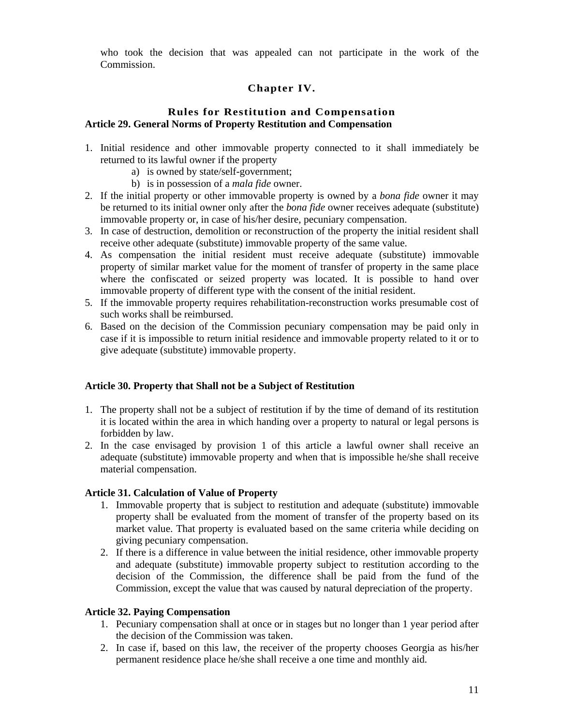who took the decision that was appealed can not participate in the work of the Commission.

# **Chapter IV.**

## **Rules for Restitution and Compensation Article 29. General Norms of Property Restitution and Compensation**

- 1. Initial residence and other immovable property connected to it shall immediately be returned to its lawful owner if the property
	- a) is owned by state/self-government;
	- b) is in possession of a *mala fide* owner.
- 2. If the initial property or other immovable property is owned by a *bona fide* owner it may be returned to its initial owner only after the *bona fide* owner receives adequate (substitute) immovable property or, in case of his/her desire, pecuniary compensation.
- 3. In case of destruction, demolition or reconstruction of the property the initial resident shall receive other adequate (substitute) immovable property of the same value.
- 4. As compensation the initial resident must receive adequate (substitute) immovable property of similar market value for the moment of transfer of property in the same place where the confiscated or seized property was located. It is possible to hand over immovable property of different type with the consent of the initial resident.
- 5. If the immovable property requires rehabilitation-reconstruction works presumable cost of such works shall be reimbursed.
- 6. Based on the decision of the Commission pecuniary compensation may be paid only in case if it is impossible to return initial residence and immovable property related to it or to give adequate (substitute) immovable property.

#### **Article 30. Property that Shall not be a Subject of Restitution**

- 1. The property shall not be a subject of restitution if by the time of demand of its restitution it is located within the area in which handing over a property to natural or legal persons is forbidden by law.
- 2. In the case envisaged by provision 1 of this article a lawful owner shall receive an adequate (substitute) immovable property and when that is impossible he/she shall receive material compensation.

#### **Article 31. Calculation of Value of Property**

- 1. Immovable property that is subject to restitution and adequate (substitute) immovable property shall be evaluated from the moment of transfer of the property based on its market value. That property is evaluated based on the same criteria while deciding on giving pecuniary compensation.
- 2. If there is a difference in value between the initial residence, other immovable property and adequate (substitute) immovable property subject to restitution according to the decision of the Commission, the difference shall be paid from the fund of the Commission, except the value that was caused by natural depreciation of the property.

#### **Article 32. Paying Compensation**

- 1. Pecuniary compensation shall at once or in stages but no longer than 1 year period after the decision of the Commission was taken.
- 2. In case if, based on this law, the receiver of the property chooses Georgia as his/her permanent residence place he/she shall receive a one time and monthly aid.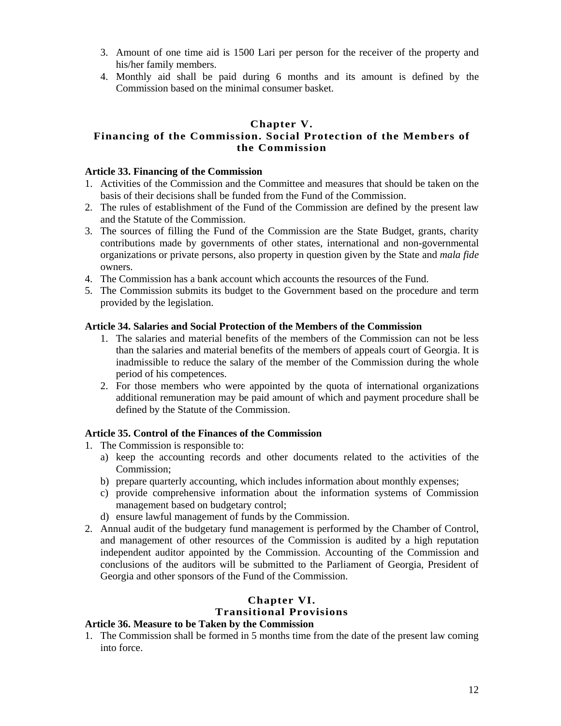- 3. Amount of one time aid is 1500 Lari per person for the receiver of the property and his/her family members.
- 4. Monthly aid shall be paid during 6 months and its amount is defined by the Commission based on the minimal consumer basket.

# **Chapter V.**

# **Financing of the Commission. Social Protection of the Members of the Commission**

#### **Article 33. Financing of the Commission**

- 1. Activities of the Commission and the Committee and measures that should be taken on the basis of their decisions shall be funded from the Fund of the Commission.
- 2. The rules of establishment of the Fund of the Commission are defined by the present law and the Statute of the Commission.
- 3. The sources of filling the Fund of the Commission are the State Budget, grants, charity contributions made by governments of other states, international and non-governmental organizations or private persons, also property in question given by the State and *mala fide* owners.
- 4. The Commission has a bank account which accounts the resources of the Fund.
- 5. The Commission submits its budget to the Government based on the procedure and term provided by the legislation.

#### **Article 34. Salaries and Social Protection of the Members of the Commission**

- 1. The salaries and material benefits of the members of the Commission can not be less than the salaries and material benefits of the members of appeals court of Georgia. It is inadmissible to reduce the salary of the member of the Commission during the whole period of his competences.
- 2. For those members who were appointed by the quota of international organizations additional remuneration may be paid amount of which and payment procedure shall be defined by the Statute of the Commission.

#### **Article 35. Control of the Finances of the Commission**

- 1. The Commission is responsible to:
	- a) keep the accounting records and other documents related to the activities of the Commission;
	- b) prepare quarterly accounting, which includes information about monthly expenses;
	- c) provide comprehensive information about the information systems of Commission management based on budgetary control;
	- d) ensure lawful management of funds by the Commission.
- 2. Annual audit of the budgetary fund management is performed by the Chamber of Control, and management of other resources of the Commission is audited by a high reputation independent auditor appointed by the Commission. Accounting of the Commission and conclusions of the auditors will be submitted to the Parliament of Georgia, President of Georgia and other sponsors of the Fund of the Commission.

#### **Chapter VI. Transitional Provisions**

#### **Article 36. Measure to be Taken by the Commission**

1. The Commission shall be formed in 5 months time from the date of the present law coming into force.